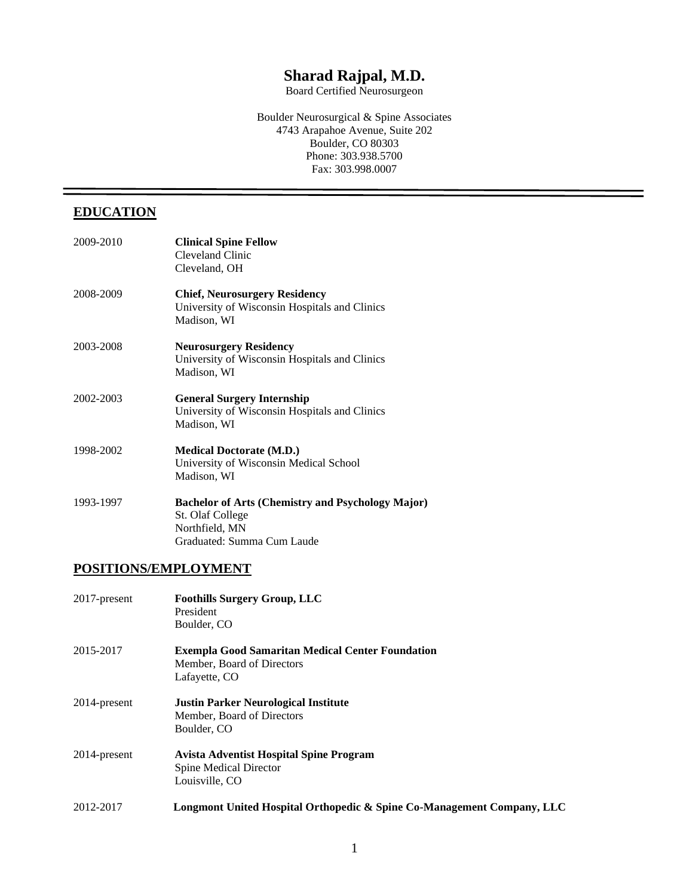# **Sharad Rajpal, M.D.**

Board Certified Neurosurgeon

Boulder Neurosurgical & Spine Associates 4743 Arapahoe Avenue, Suite 202 Boulder, CO 80303 Phone: 303.938.5700 Fax: 303.998.0007

# **EDUCATION**

| 2009-2010 | <b>Clinical Spine Fellow</b><br>Cleveland Clinic<br>Cleveland, OH                                                            |
|-----------|------------------------------------------------------------------------------------------------------------------------------|
| 2008-2009 | <b>Chief, Neurosurgery Residency</b><br>University of Wisconsin Hospitals and Clinics<br>Madison, WI                         |
| 2003-2008 | <b>Neurosurgery Residency</b><br>University of Wisconsin Hospitals and Clinics<br>Madison, WI                                |
| 2002-2003 | <b>General Surgery Internship</b><br>University of Wisconsin Hospitals and Clinics<br>Madison, WI                            |
| 1998-2002 | <b>Medical Doctorate (M.D.)</b><br>University of Wisconsin Medical School<br>Madison, WI                                     |
| 1993-1997 | <b>Bachelor of Arts (Chemistry and Psychology Major)</b><br>St. Olaf College<br>Northfield, MN<br>Graduated: Summa Cum Laude |

### **POSITIONS/EMPLOYMENT**

| 2017-present | <b>Foothills Surgery Group, LLC</b><br>President<br>Boulder, CO                                        |
|--------------|--------------------------------------------------------------------------------------------------------|
| 2015-2017    | <b>Exempla Good Samaritan Medical Center Foundation</b><br>Member, Board of Directors<br>Lafayette, CO |
| 2014-present | <b>Justin Parker Neurological Institute</b><br>Member, Board of Directors<br>Boulder, CO               |
| 2014-present | <b>Avista Adventist Hospital Spine Program</b><br><b>Spine Medical Director</b><br>Louisville, CO      |
| 2012-2017    | Longmont United Hospital Orthopedic & Spine Co-Management Company, LLC                                 |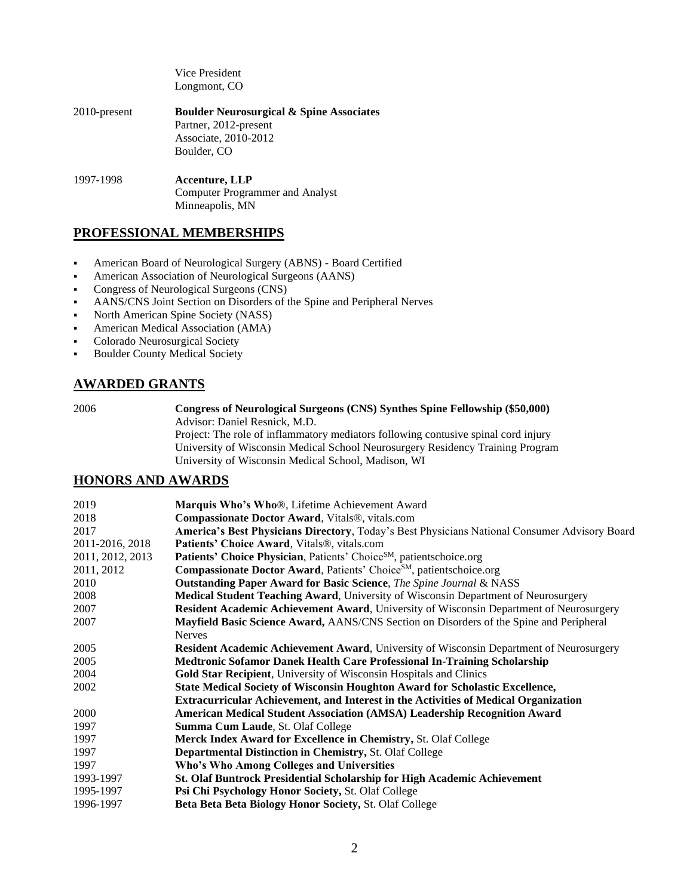|                 | Vice President<br>Longmont, CO                                                                                      |
|-----------------|---------------------------------------------------------------------------------------------------------------------|
| $2010$ -present | <b>Boulder Neurosurgical &amp; Spine Associates</b><br>Partner, 2012-present<br>Associate, 2010-2012<br>Boulder, CO |
| 1997-1998       | <b>Accenture, LLP</b><br><b>Computer Programmer and Analyst</b><br>Minneapolis, MN                                  |

### **PROFESSIONAL MEMBERSHIPS**

- American Board of Neurological Surgery (ABNS) Board Certified
- American Association of Neurological Surgeons (AANS)
- Congress of Neurological Surgeons (CNS)
- AANS/CNS Joint Section on Disorders of the Spine and Peripheral Nerves
- North American Spine Society (NASS)
- **American Medical Association (AMA)**
- Colorado Neurosurgical Society
- **Boulder County Medical Society**

### **AWARDED GRANTS**

2006 **Congress of Neurological Surgeons [\(CNS\) Synthes Spine Fellowship \(](http://neurosurgeon.org/education/fellowship.asp#synthes#synthes)\$50,000)** Advisor: Daniel Resnick, M.D.

Project: The role of inflammatory mediators following contusive spinal cord injury University of Wisconsin Medical School Neurosurgery Residency Training Program University of Wisconsin Medical School, Madison, WI

### **HONORS AND AWARDS**

| 2019             | Marquis Who's Who®, Lifetime Achievement Award                                                |
|------------------|-----------------------------------------------------------------------------------------------|
| 2018             | Compassionate Doctor Award, Vitals®, vitals.com                                               |
| 2017             | America's Best Physicians Directory, Today's Best Physicians National Consumer Advisory Board |
| 2011-2016, 2018  | Patients' Choice Award, Vitals®, vitals.com                                                   |
| 2011, 2012, 2013 | Patients' Choice Physician, Patients' Choice <sup>SM</sup> , patientschoice.org               |
| 2011, 2012       | Compassionate Doctor Award, Patients' Choice <sup>SM</sup> , patientschoice.org               |
| 2010             | <b>Outstanding Paper Award for Basic Science</b> , The Spine Journal & NASS                   |
| 2008             | Medical Student Teaching Award, University of Wisconsin Department of Neurosurgery            |
| 2007             | Resident Academic Achievement Award, University of Wisconsin Department of Neurosurgery       |
| 2007             | Mayfield Basic Science Award, AANS/CNS Section on Disorders of the Spine and Peripheral       |
|                  | <b>Nerves</b>                                                                                 |
| 2005             | Resident Academic Achievement Award, University of Wisconsin Department of Neurosurgery       |
| 2005             | Medtronic Sofamor Danek Health Care Professional In-Training Scholarship                      |
| 2004             | Gold Star Recipient, University of Wisconsin Hospitals and Clinics                            |
| 2002             | State Medical Society of Wisconsin Houghton Award for Scholastic Excellence,                  |
|                  | <b>Extracurricular Achievement, and Interest in the Activities of Medical Organization</b>    |
| 2000             | <b>American Medical Student Association (AMSA) Leadership Recognition Award</b>               |
| 1997             | Summa Cum Laude, St. Olaf College                                                             |
| 1997             | Merck Index Award for Excellence in Chemistry, St. Olaf College                               |
| 1997             | Departmental Distinction in Chemistry, St. Olaf College                                       |
| 1997             | Who's Who Among Colleges and Universities                                                     |
| 1993-1997        | <b>St. Olaf Buntrock Presidential Scholarship for High Academic Achievement</b>               |
| 1995-1997        | Psi Chi Psychology Honor Society, St. Olaf College                                            |
| 1996-1997        | Beta Beta Beta Biology Honor Society, St. Olaf College                                        |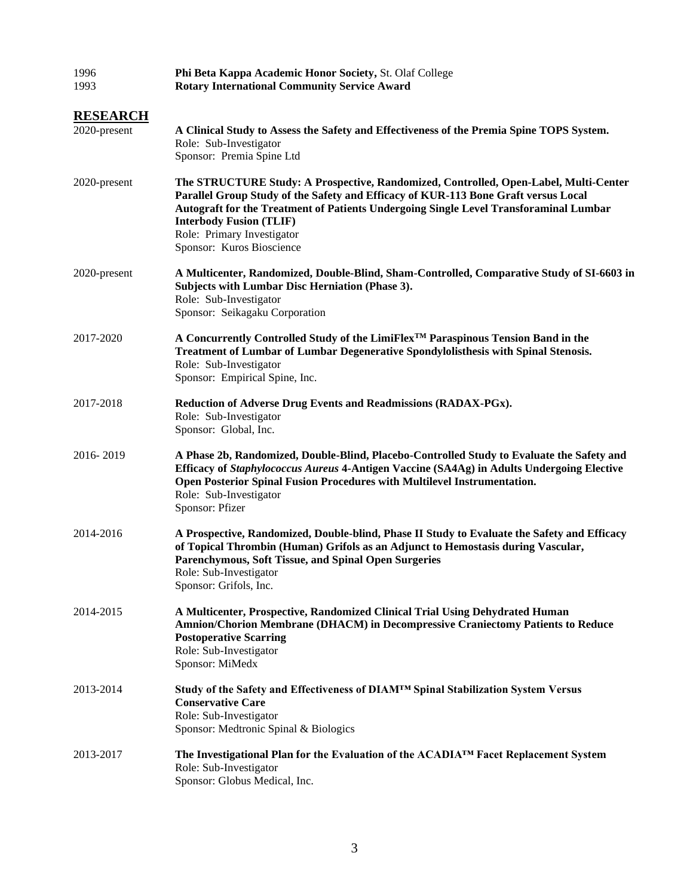| 1996<br>1993                    | Phi Beta Kappa Academic Honor Society, St. Olaf College<br><b>Rotary International Community Service Award</b>                                                                                                                                                                                                                                                   |  |
|---------------------------------|------------------------------------------------------------------------------------------------------------------------------------------------------------------------------------------------------------------------------------------------------------------------------------------------------------------------------------------------------------------|--|
| <b>RESEARCH</b><br>2020-present | A Clinical Study to Assess the Safety and Effectiveness of the Premia Spine TOPS System.<br>Role: Sub-Investigator<br>Sponsor: Premia Spine Ltd                                                                                                                                                                                                                  |  |
| 2020-present                    | The STRUCTURE Study: A Prospective, Randomized, Controlled, Open-Label, Multi-Center<br>Parallel Group Study of the Safety and Efficacy of KUR-113 Bone Graft versus Local<br>Autograft for the Treatment of Patients Undergoing Single Level Transforaminal Lumbar<br><b>Interbody Fusion (TLIF)</b><br>Role: Primary Investigator<br>Sponsor: Kuros Bioscience |  |
| 2020-present                    | A Multicenter, Randomized, Double-Blind, Sham-Controlled, Comparative Study of SI-6603 in<br>Subjects with Lumbar Disc Herniation (Phase 3).<br>Role: Sub-Investigator<br>Sponsor: Seikagaku Corporation                                                                                                                                                         |  |
| 2017-2020                       | A Concurrently Controlled Study of the LimiFlex <sup>™</sup> Paraspinous Tension Band in the<br>Treatment of Lumbar of Lumbar Degenerative Spondylolisthesis with Spinal Stenosis.<br>Role: Sub-Investigator<br>Sponsor: Empirical Spine, Inc.                                                                                                                   |  |
| 2017-2018                       | Reduction of Adverse Drug Events and Readmissions (RADAX-PGx).<br>Role: Sub-Investigator<br>Sponsor: Global, Inc.                                                                                                                                                                                                                                                |  |
| 2016-2019                       | A Phase 2b, Randomized, Double-Blind, Placebo-Controlled Study to Evaluate the Safety and<br>Efficacy of Staphylococcus Aureus 4-Antigen Vaccine (SA4Ag) in Adults Undergoing Elective<br>Open Posterior Spinal Fusion Procedures with Multilevel Instrumentation.<br>Role: Sub-Investigator<br>Sponsor: Pfizer                                                  |  |
| 2014-2016                       | A Prospective, Randomized, Double-blind, Phase II Study to Evaluate the Safety and Efficacy<br>of Topical Thrombin (Human) Grifols as an Adjunct to Hemostasis during Vascular,<br>Parenchymous, Soft Tissue, and Spinal Open Surgeries<br>Role: Sub-Investigator<br>Sponsor: Grifols, Inc.                                                                      |  |
| 2014-2015                       | A Multicenter, Prospective, Randomized Clinical Trial Using Dehydrated Human<br><b>Amnion/Chorion Membrane (DHACM) in Decompressive Craniectomy Patients to Reduce</b><br><b>Postoperative Scarring</b><br>Role: Sub-Investigator<br>Sponsor: MiMedx                                                                                                             |  |
| 2013-2014                       | Study of the Safety and Effectiveness of DIAM™ Spinal Stabilization System Versus<br><b>Conservative Care</b><br>Role: Sub-Investigator<br>Sponsor: Medtronic Spinal & Biologics                                                                                                                                                                                 |  |
| 2013-2017                       | The Investigational Plan for the Evaluation of the ACADIA <sup>TM</sup> Facet Replacement System<br>Role: Sub-Investigator<br>Sponsor: Globus Medical, Inc.                                                                                                                                                                                                      |  |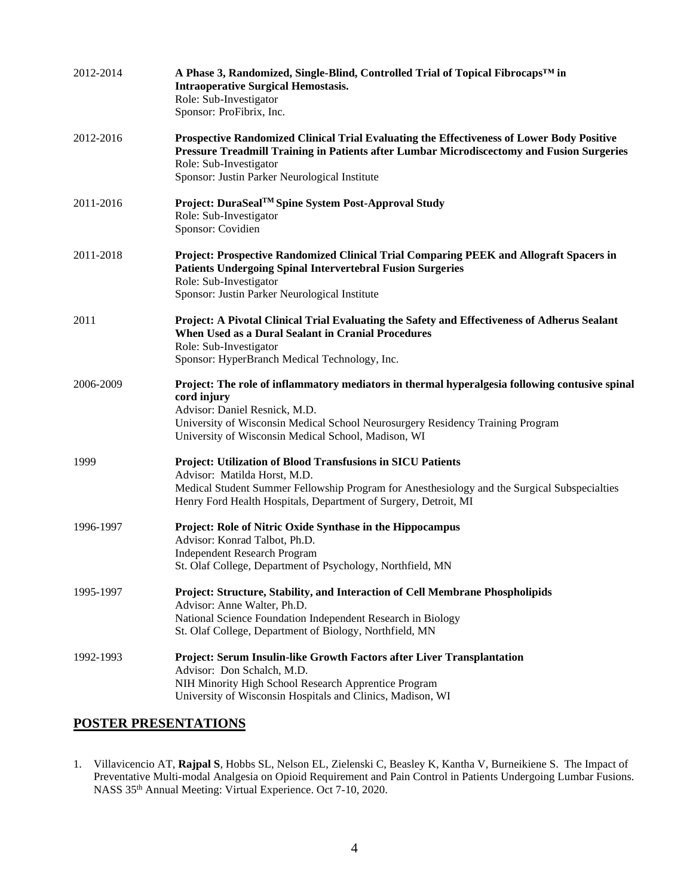| 2012-2014 | A Phase 3, Randomized, Single-Blind, Controlled Trial of Topical Fibrocaps™ in<br><b>Intraoperative Surgical Hemostasis.</b><br>Role: Sub-Investigator<br>Sponsor: ProFibrix, Inc.                                                                                                      |
|-----------|-----------------------------------------------------------------------------------------------------------------------------------------------------------------------------------------------------------------------------------------------------------------------------------------|
| 2012-2016 | Prospective Randomized Clinical Trial Evaluating the Effectiveness of Lower Body Positive<br>Pressure Treadmill Training in Patients after Lumbar Microdiscectomy and Fusion Surgeries<br>Role: Sub-Investigator<br>Sponsor: Justin Parker Neurological Institute                       |
| 2011-2016 | Project: DuraSeal <sup>TM</sup> Spine System Post-Approval Study<br>Role: Sub-Investigator<br>Sponsor: Covidien                                                                                                                                                                         |
| 2011-2018 | Project: Prospective Randomized Clinical Trial Comparing PEEK and Allograft Spacers in<br><b>Patients Undergoing Spinal Intervertebral Fusion Surgeries</b><br>Role: Sub-Investigator<br>Sponsor: Justin Parker Neurological Institute                                                  |
| 2011      | Project: A Pivotal Clinical Trial Evaluating the Safety and Effectiveness of Adherus Sealant<br>When Used as a Dural Sealant in Cranial Procedures<br>Role: Sub-Investigator<br>Sponsor: HyperBranch Medical Technology, Inc.                                                           |
| 2006-2009 | Project: The role of inflammatory mediators in thermal hyperalgesia following contusive spinal<br>cord injury<br>Advisor: Daniel Resnick, M.D.<br>University of Wisconsin Medical School Neurosurgery Residency Training Program<br>University of Wisconsin Medical School, Madison, WI |
| 1999      | Project: Utilization of Blood Transfusions in SICU Patients<br>Advisor: Matilda Horst, M.D.<br>Medical Student Summer Fellowship Program for Anesthesiology and the Surgical Subspecialties<br>Henry Ford Health Hospitals, Department of Surgery, Detroit, MI                          |
| 1996-1997 | Project: Role of Nitric Oxide Synthase in the Hippocampus<br>Advisor: Konrad Talbot, Ph.D.<br><b>Independent Research Program</b><br>St. Olaf College, Department of Psychology, Northfield, MN                                                                                         |
| 1995-1997 | Project: Structure, Stability, and Interaction of Cell Membrane Phospholipids<br>Advisor: Anne Walter, Ph.D.<br>National Science Foundation Independent Research in Biology<br>St. Olaf College, Department of Biology, Northfield, MN                                                  |
| 1992-1993 | Project: Serum Insulin-like Growth Factors after Liver Transplantation<br>Advisor: Don Schalch, M.D.<br>NIH Minority High School Research Apprentice Program<br>University of Wisconsin Hospitals and Clinics, Madison, WI                                                              |

# **POSTER PRESENTATIONS**

1. Villavicencio AT, **Rajpal S**, Hobbs SL, Nelson EL, Zielenski C, Beasley K, Kantha V, Burneikiene S. The Impact of Preventative Multi-modal Analgesia on Opioid Requirement and Pain Control in Patients Undergoing Lumbar Fusions. NASS 35<sup>th</sup> Annual Meeting: Virtual Experience. Oct 7-10, 2020.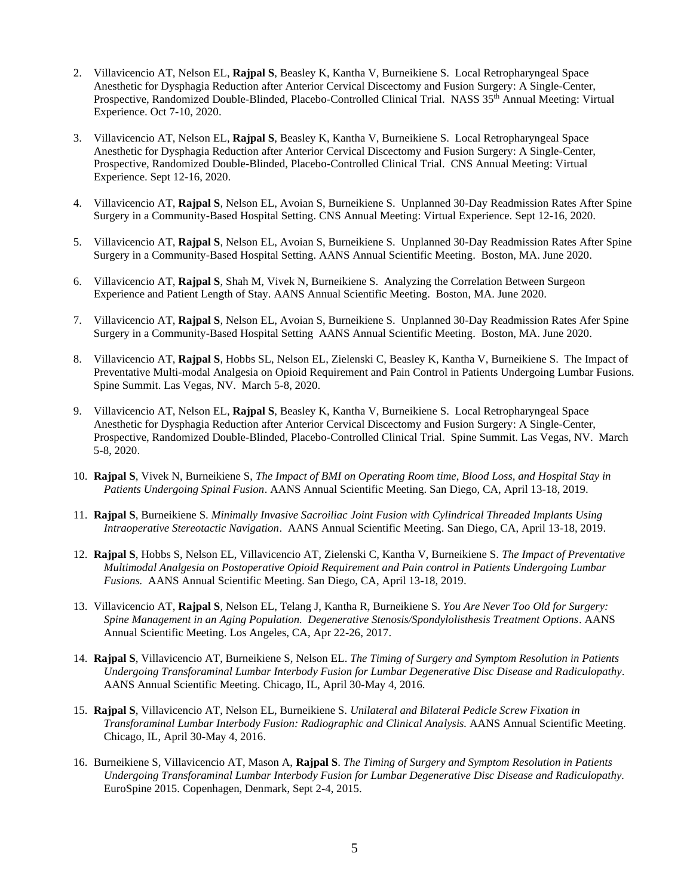- 2. Villavicencio AT, Nelson EL, **Rajpal S**, Beasley K, Kantha V, Burneikiene S. Local Retropharyngeal Space Anesthetic for Dysphagia Reduction after Anterior Cervical Discectomy and Fusion Surgery: A Single-Center, Prospective, Randomized Double-Blinded, Placebo-Controlled Clinical Trial. NASS 35<sup>th</sup> Annual Meeting: Virtual Experience. Oct 7-10, 2020.
- 3. Villavicencio AT, Nelson EL, **Rajpal S**, Beasley K, Kantha V, Burneikiene S. Local Retropharyngeal Space Anesthetic for Dysphagia Reduction after Anterior Cervical Discectomy and Fusion Surgery: A Single-Center, Prospective, Randomized Double-Blinded, Placebo-Controlled Clinical Trial. CNS Annual Meeting: Virtual Experience. Sept 12-16, 2020.
- 4. Villavicencio AT, **Rajpal S**, Nelson EL, Avoian S, Burneikiene S. Unplanned 30-Day Readmission Rates After Spine Surgery in a Community-Based Hospital Setting. CNS Annual Meeting: Virtual Experience. Sept 12-16, 2020.
- 5. Villavicencio AT, **Rajpal S**, Nelson EL, Avoian S, Burneikiene S. Unplanned 30-Day Readmission Rates After Spine Surgery in a Community-Based Hospital Setting. AANS Annual Scientific Meeting. Boston, MA. June 2020.
- 6. Villavicencio AT, **Rajpal S**, Shah M, Vivek N, Burneikiene S. Analyzing the Correlation Between Surgeon Experience and Patient Length of Stay. AANS Annual Scientific Meeting. Boston, MA. June 2020.
- 7. Villavicencio AT, **Rajpal S**, Nelson EL, Avoian S, Burneikiene S. Unplanned 30-Day Readmission Rates Afer Spine Surgery in a Community-Based Hospital Setting AANS Annual Scientific Meeting. Boston, MA. June 2020.
- 8. Villavicencio AT, **Rajpal S**, Hobbs SL, Nelson EL, Zielenski C, Beasley K, Kantha V, Burneikiene S. The Impact of Preventative Multi-modal Analgesia on Opioid Requirement and Pain Control in Patients Undergoing Lumbar Fusions. Spine Summit. Las Vegas, NV. March 5-8, 2020.
- 9. Villavicencio AT, Nelson EL, **Rajpal S**, Beasley K, Kantha V, Burneikiene S. Local Retropharyngeal Space Anesthetic for Dysphagia Reduction after Anterior Cervical Discectomy and Fusion Surgery: A Single-Center, Prospective, Randomized Double-Blinded, Placebo-Controlled Clinical Trial. Spine Summit. Las Vegas, NV. March 5-8, 2020.
- 10. **Rajpal S**, Vivek N, Burneikiene S, *The Impact of BMI on Operating Room time, Blood Loss, and Hospital Stay in Patients Undergoing Spinal Fusion*. AANS Annual Scientific Meeting. San Diego, CA, April 13-18, 2019.
- 11. **Rajpal S**, Burneikiene S. *Minimally Invasive Sacroiliac Joint Fusion with Cylindrical Threaded Implants Using Intraoperative Stereotactic Navigation*. AANS Annual Scientific Meeting. San Diego, CA, April 13-18, 2019.
- 12. **Rajpal S**, Hobbs S, Nelson EL, Villavicencio AT, Zielenski C, Kantha V, Burneikiene S. *The Impact of Preventative Multimodal Analgesia on Postoperative Opioid Requirement and Pain control in Patients Undergoing Lumbar Fusions.* AANS Annual Scientific Meeting. San Diego, CA, April 13-18, 2019.
- 13. Villavicencio AT, **Rajpal S**, Nelson EL, Telang J, Kantha R, Burneikiene S. *You Are Never Too Old for Surgery: Spine Management in an Aging Population. Degenerative Stenosis/Spondylolisthesis Treatment Options*. AANS Annual Scientific Meeting. Los Angeles, CA, Apr 22-26, 2017.
- 14. **Rajpal S**, Villavicencio AT, Burneikiene S, Nelson EL. *The Timing of Surgery and Symptom Resolution in Patients Undergoing Transforaminal Lumbar Interbody Fusion for Lumbar Degenerative Disc Disease and Radiculopathy*. AANS Annual Scientific Meeting. Chicago, IL, April 30-May 4, 2016.
- 15. **Rajpal S**, Villavicencio AT, Nelson EL, Burneikiene S. *Unilateral and Bilateral Pedicle Screw Fixation in Transforaminal Lumbar Interbody Fusion: Radiographic and Clinical Analysis.* AANS Annual Scientific Meeting. Chicago, IL, April 30-May 4, 2016.
- 16. Burneikiene S, Villavicencio AT, Mason A, **Rajpal S**. *The Timing of Surgery and Symptom Resolution in Patients Undergoing Transforaminal Lumbar Interbody Fusion for Lumbar Degenerative Disc Disease and Radiculopathy.* EuroSpine 2015. Copenhagen, Denmark, Sept 2-4, 2015.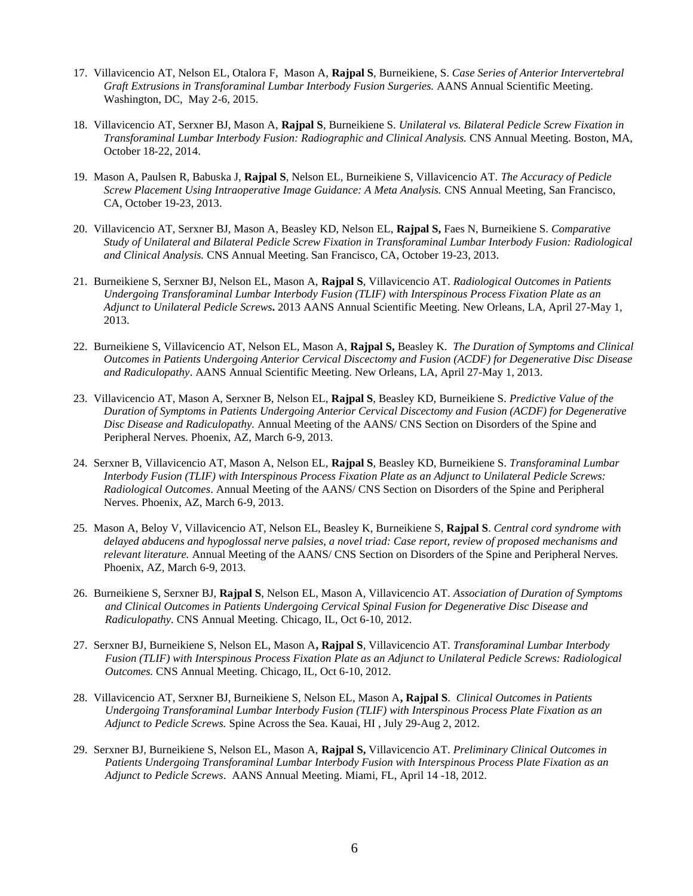- 17. Villavicencio AT, Nelson EL, Otalora F, Mason A, **Rajpal S**, Burneikiene, S. *Case Series of Anterior Intervertebral Graft Extrusions in Transforaminal Lumbar Interbody Fusion Surgeries.* AANS Annual Scientific Meeting. Washington, DC, May 2-6, 2015.
- 18. Villavicencio AT, Serxner BJ, Mason A, **Rajpal S**, Burneikiene S. *Unilateral vs. Bilateral Pedicle Screw Fixation in Transforaminal Lumbar Interbody Fusion: Radiographic and Clinical Analysis.* CNS Annual Meeting. Boston, MA, October 18-22, 2014.
- 19. Mason A, Paulsen R, Babuska J, **Rajpal S**, Nelson EL, Burneikiene S, Villavicencio AT. *The Accuracy of Pedicle Screw Placement Using Intraoperative Image Guidance: A Meta Analysis.* CNS Annual Meeting, San Francisco, CA, October 19-23, 2013.
- 20. Villavicencio AT, Serxner BJ, Mason A, Beasley KD, Nelson EL, **Rajpal S,** Faes N, Burneikiene S. *Comparative Study of Unilateral and Bilateral Pedicle Screw Fixation in Transforaminal Lumbar Interbody Fusion: Radiological and Clinical Analysis.* CNS Annual Meeting. San Francisco, CA, October 19-23, 2013.
- 21. Burneikiene S, Serxner BJ, Nelson EL, Mason A, **Rajpal S**, Villavicencio AT. *Radiological Outcomes in Patients Undergoing Transforaminal Lumbar Interbody Fusion (TLIF) with Interspinous Process Fixation Plate as an Adjunct to Unilateral Pedicle Screws***.** 2013 AANS Annual Scientific Meeting. New Orleans, LA, April 27-May 1, 2013.
- 22. Burneikiene S, Villavicencio AT, Nelson EL, Mason A, **Rajpal S,** Beasley K. *The Duration of Symptoms and Clinical Outcomes in Patients Undergoing Anterior Cervical Discectomy and Fusion (ACDF) for Degenerative Disc Disease and Radiculopathy*. AANS Annual Scientific Meeting. New Orleans, LA, April 27-May 1, 2013.
- 23. Villavicencio AT, Mason A, Serxner B, Nelson EL, **Rajpal S**, Beasley KD, Burneikiene S. *Predictive Value of the Duration of Symptoms in Patients Undergoing Anterior Cervical Discectomy and Fusion (ACDF) for Degenerative Disc Disease and Radiculopathy.* Annual Meeting of the AANS/ CNS Section on Disorders of the Spine and Peripheral Nerves. Phoenix, AZ, March 6-9, 2013.
- 24. Serxner B, Villavicencio AT, Mason A, Nelson EL, **Rajpal S**, Beasley KD, Burneikiene S. *Transforaminal Lumbar Interbody Fusion (TLIF) with Interspinous Process Fixation Plate as an Adjunct to Unilateral Pedicle Screws: Radiological Outcomes*. Annual Meeting of the AANS/ CNS Section on Disorders of the Spine and Peripheral Nerves. Phoenix, AZ, March 6-9, 2013.
- 25. Mason A, Beloy V, Villavicencio AT, Nelson EL, Beasley K, Burneikiene S, **Rajpal S**. *Central cord syndrome with delayed abducens and hypoglossal nerve palsies, a novel triad: Case report, review of proposed mechanisms and relevant literature.* Annual Meeting of the AANS/ CNS Section on Disorders of the Spine and Peripheral Nerves. Phoenix, AZ, March 6-9, 2013.
- 26. Burneikiene S, Serxner BJ, **Rajpal S**, Nelson EL, Mason A, Villavicencio AT. *Association of Duration of Symptoms and Clinical Outcomes in Patients Undergoing Cervical Spinal Fusion for Degenerative Disc Disease and Radiculopathy.* CNS Annual Meeting. Chicago, IL, Oct 6-10, 2012.
- 27. Serxner BJ, Burneikiene S, Nelson EL, Mason A**, Rajpal S**, Villavicencio AT. *Transforaminal Lumbar Interbody Fusion (TLIF) with Interspinous Process Fixation Plate as an Adjunct to Unilateral Pedicle Screws: Radiological Outcomes.* CNS Annual Meeting. Chicago, IL, Oct 6-10, 2012.
- 28. Villavicencio AT, Serxner BJ, Burneikiene S, Nelson EL, Mason A**, Rajpal S**. *Clinical Outcomes in Patients Undergoing Transforaminal Lumbar Interbody Fusion (TLIF) with Interspinous Process Plate Fixation as an Adjunct to Pedicle Screws.* Spine Across the Sea. Kauai, HI , July 29-Aug 2, 2012.
- 29. Serxner BJ, Burneikiene S, Nelson EL, Mason A, **Rajpal S,** Villavicencio AT. *Preliminary Clinical Outcomes in Patients Undergoing Transforaminal Lumbar Interbody Fusion with Interspinous Process Plate Fixation as an Adjunct to Pedicle Screws*. AANS Annual Meeting. Miami, FL, April 14 -18, 2012.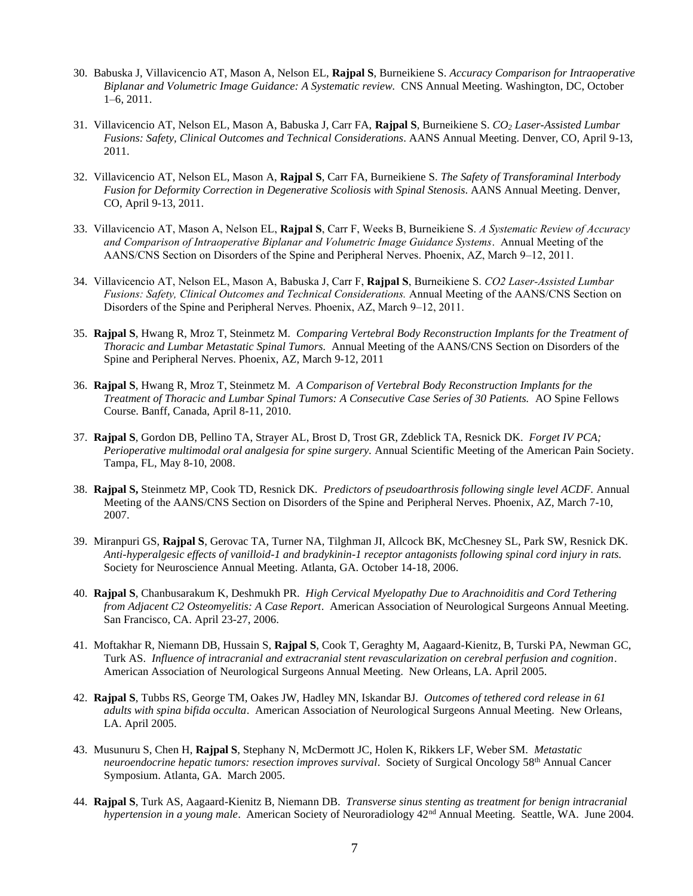- 30. Babuska J, Villavicencio AT, Mason A, Nelson EL, **Rajpal S**, Burneikiene S. *Accuracy Comparison for Intraoperative Biplanar and Volumetric Image Guidance: A Systematic review.* CNS Annual Meeting. Washington, DC, October 1–6, 2011.
- 31. Villavicencio AT, Nelson EL, Mason A, Babuska J, Carr FA, **Rajpal S**, Burneikiene S. *CO<sup>2</sup> Laser-Assisted Lumbar Fusions: Safety, Clinical Outcomes and Technical Considerations*. AANS Annual Meeting. Denver, CO, April 9-13, 2011.
- 32. Villavicencio AT, Nelson EL, Mason A, **Rajpal S**, Carr FA, Burneikiene S. *The Safety of Transforaminal Interbody Fusion for Deformity Correction in Degenerative Scoliosis with Spinal Stenosis*. AANS Annual Meeting. Denver, CO, April 9-13, 2011.
- 33. Villavicencio AT, Mason A, Nelson EL, **Rajpal S**, Carr F, Weeks B, Burneikiene S. *A Systematic Review of Accuracy and Comparison of Intraoperative Biplanar and Volumetric Image Guidance Systems*. Annual Meeting of the AANS/CNS Section on Disorders of the Spine and Peripheral Nerves. Phoenix, AZ, March 9–12, 2011.
- 34. Villavicencio AT, Nelson EL, Mason A, Babuska J, Carr F, **Rajpal S**, Burneikiene S. *CO2 Laser-Assisted Lumbar Fusions: Safety, Clinical Outcomes and Technical Considerations.* Annual Meeting of the AANS/CNS Section on Disorders of the Spine and Peripheral Nerves. Phoenix, AZ, March 9–12, 2011.
- 35. **Rajpal S**, Hwang R, Mroz T, Steinmetz M*. Comparing Vertebral Body Reconstruction Implants for the Treatment of Thoracic and Lumbar Metastatic Spinal Tumors.* Annual Meeting of the AANS/CNS Section on Disorders of the Spine and Peripheral Nerves. Phoenix, AZ, March 9-12, 2011
- 36. **Rajpal S**, Hwang R, Mroz T, Steinmetz M*. A Comparison of Vertebral Body Reconstruction Implants for the Treatment of Thoracic and Lumbar Spinal Tumors: A Consecutive Case Series of 30 Patients.* AO Spine Fellows Course. Banff, Canada, April 8-11, 2010.
- 37. **Rajpal S**, Gordon DB, Pellino TA, Strayer AL, Brost D, Trost GR, Zdeblick TA, Resnick DK. *Forget IV PCA; Perioperative multimodal oral analgesia for spine surgery.* Annual Scientific Meeting of the American Pain Society. Tampa, FL, May 8-10, 2008.
- 38. **Rajpal S,** Steinmetz MP, Cook TD, Resnick DK. *Predictors of pseudoarthrosis following single level ACDF.* Annual Meeting of the AANS/CNS Section on Disorders of the Spine and Peripheral Nerves. Phoenix, AZ, March 7-10, 2007.
- 39. Miranpuri GS, **Rajpal S**, Gerovac TA, Turner NA, Tilghman JI, Allcock BK, McChesney SL, Park SW, Resnick DK. *Anti-hyperalgesic effects of vanilloid-1 and bradykinin-1 receptor antagonists following spinal cord injury in rats.* Society for Neuroscience Annual Meeting. Atlanta, GA. October 14-18, 2006.
- 40. **Rajpal S**, Chanbusarakum K, Deshmukh PR. *High Cervical Myelopathy Due to Arachnoiditis and Cord Tethering from Adjacent C2 Osteomyelitis: A Case Report*. American Association of Neurological Surgeons Annual Meeting. San Francisco, CA. April 23-27, 2006.
- 41. Moftakhar R, Niemann DB, Hussain S, **Rajpal S**, Cook T, Geraghty M, Aagaard-Kienitz, B, Turski PA, Newman GC, Turk AS. *Influence of intracranial and extracranial stent revascularization on cerebral perfusion and cognition*. American Association of Neurological Surgeons Annual Meeting. New Orleans, LA. April 2005.
- 42. **Rajpal S**, Tubbs RS, George TM, Oakes JW, Hadley MN, Iskandar BJ. *Outcomes of tethered cord release in 61 adults with spina bifida occulta*. American Association of Neurological Surgeons Annual Meeting. New Orleans, LA. April 2005.
- 43. Musunuru S, Chen H, **Rajpal S**, Stephany N, McDermott JC, Holen K, Rikkers LF, Weber SM. *Metastatic neuroendocrine hepatic tumors: resection improves survival*. Society of Surgical Oncology 58th Annual Cancer Symposium. Atlanta, GA. March 2005.
- 44. **Rajpal S**, Turk AS, Aagaard-Kienitz B, Niemann DB. *Transverse sinus stenting as treatment for benign intracranial hypertension in a young male*. American Society of Neuroradiology 42nd Annual Meeting. Seattle, WA. June 2004.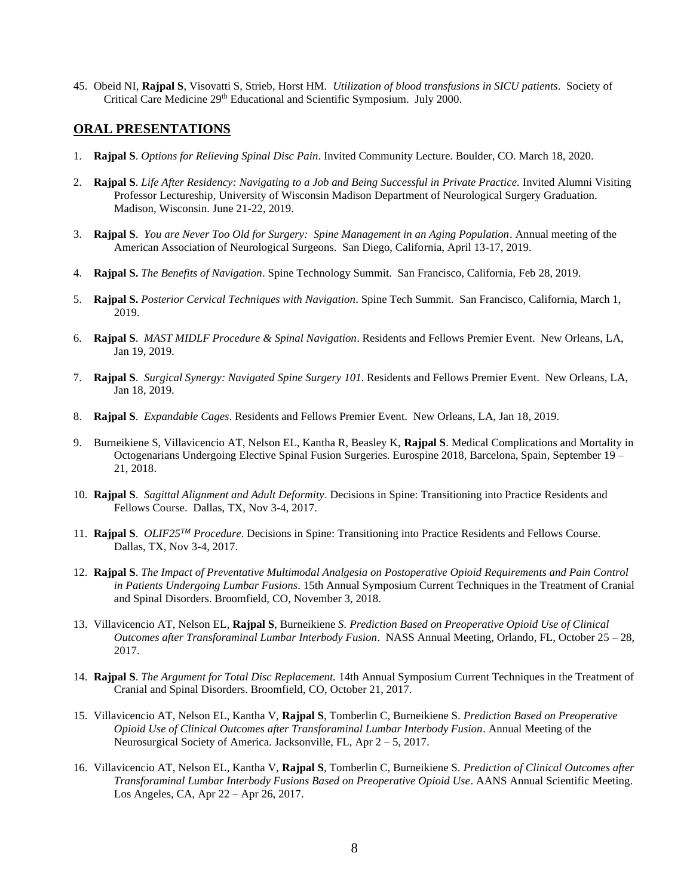45. Obeid NI, **Rajpal S**, Visovatti S, Strieb, Horst HM. *Utilization of blood transfusions in SICU patients*. Society of Critical Care Medicine 29<sup>th</sup> Educational and Scientific Symposium. July 2000.

#### **ORAL PRESENTATIONS**

- 1. **Rajpal S**. *Options for Relieving Spinal Disc Pain*. Invited Community Lecture. Boulder, CO. March 18, 2020.
- 2. **Rajpal S**. *Life After Residency: Navigating to a Job and Being Successful in Private Practice.* Invited Alumni Visiting Professor Lectureship, University of Wisconsin Madison Department of Neurological Surgery Graduation. Madison, Wisconsin. June 21-22, 2019.
- 3. **Rajpal S**. *You are Never Too Old for Surgery: Spine Management in an Aging Population*. Annual meeting of the American Association of Neurological Surgeons. San Diego, California, April 13-17, 2019.
- 4. **Rajpal S.** *The Benefits of Navigation*. Spine Technology Summit. San Francisco, California, Feb 28, 2019.
- 5. **Rajpal S.** *Posterior Cervical Techniques with Navigation*. Spine Tech Summit. San Francisco, California, March 1, 2019.
- 6. **Rajpal S**. *MAST MIDLF Procedure & Spinal Navigation*. Residents and Fellows Premier Event. New Orleans, LA, Jan 19, 2019.
- 7. **Rajpal S**. *Surgical Synergy: Navigated Spine Surgery 101*. Residents and Fellows Premier Event. New Orleans, LA, Jan 18, 2019.
- 8. **Rajpal S**. *Expandable Cages*. Residents and Fellows Premier Event. New Orleans, LA, Jan 18, 2019.
- 9. Burneikiene S, Villavicencio AT, Nelson EL, Kantha R, Beasley K, **Rajpal S**. Medical Complications and Mortality in Octogenarians Undergoing Elective Spinal Fusion Surgeries. Eurospine 2018, Barcelona, Spain, September 19 – 21, 2018.
- 10. **Rajpal S**. *Sagittal Alignment and Adult Deformity*. Decisions in Spine: Transitioning into Practice Residents and Fellows Course. Dallas, TX, Nov 3-4, 2017.
- 11. **Rajpal S**. *OLIF25TM Procedure*. Decisions in Spine: Transitioning into Practice Residents and Fellows Course. Dallas, TX, Nov 3-4, 2017.
- 12. **Rajpal S**. *The Impact of Preventative Multimodal Analgesia on Postoperative Opioid Requirements and Pain Control in Patients Undergoing Lumbar Fusions*. 15th Annual Symposium Current Techniques in the Treatment of Cranial and Spinal Disorders. Broomfield, CO, November 3, 2018.
- 13. Villavicencio AT, Nelson EL, **Rajpal S**, Burneikiene *S. Prediction Based on Preoperative Opioid Use of Clinical Outcomes after Transforaminal Lumbar Interbody Fusion*. NASS Annual Meeting, Orlando, FL, October 25 – 28, 2017.
- 14. **Rajpal S**. *The Argument for Total Disc Replacement.* 14th Annual Symposium Current Techniques in the Treatment of Cranial and Spinal Disorders. Broomfield, CO, October 21, 2017.
- 15. Villavicencio AT, Nelson EL, Kantha V, **Rajpal S**, Tomberlin C, Burneikiene S. *Prediction Based on Preoperative Opioid Use of Clinical Outcomes after Transforaminal Lumbar Interbody Fusion*. Annual Meeting of the Neurosurgical Society of America. Jacksonville, FL, Apr 2 – 5, 2017.
- 16. Villavicencio AT, Nelson EL, Kantha V, **Rajpal S**, Tomberlin C, Burneikiene S. *Prediction of Clinical Outcomes after Transforaminal Lumbar Interbody Fusions Based on Preoperative Opioid Use*. AANS Annual Scientific Meeting. Los Angeles, CA, Apr 22 – Apr 26, 2017.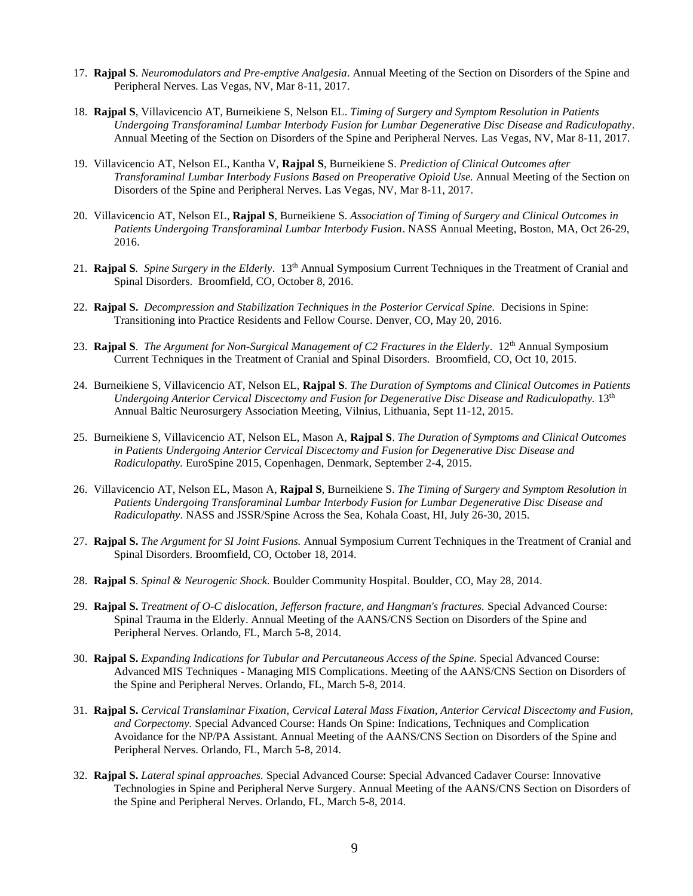- 17. **Rajpal S**. *Neuromodulators and Pre-emptive Analgesia*. Annual Meeting of the Section on Disorders of the Spine and Peripheral Nerves. Las Vegas, NV, Mar 8-11, 2017.
- 18. **Rajpal S**, Villavicencio AT, Burneikiene S, Nelson EL. *Timing of Surgery and Symptom Resolution in Patients Undergoing Transforaminal Lumbar Interbody Fusion for Lumbar Degenerative Disc Disease and Radiculopathy*. Annual Meeting of the Section on Disorders of the Spine and Peripheral Nerves. Las Vegas, NV, Mar 8-11, 2017.
- 19. Villavicencio AT, Nelson EL, Kantha V, **Rajpal S**, Burneikiene S. *Prediction of Clinical Outcomes after Transforaminal Lumbar Interbody Fusions Based on Preoperative Opioid Use.* Annual Meeting of the Section on Disorders of the Spine and Peripheral Nerves. Las Vegas, NV, Mar 8-11, 2017.
- 20. Villavicencio AT, Nelson EL, **Rajpal S**, Burneikiene S. *Association of Timing of Surgery and Clinical Outcomes in Patients Undergoing Transforaminal Lumbar Interbody Fusion*. NASS Annual Meeting, Boston, MA, Oct 26-29, 2016.
- 21. **Rajpal S***. Spine Surgery in the Elderly*. 13th Annual Symposium Current Techniques in the Treatment of Cranial and Spinal Disorders. Broomfield, CO, October 8, 2016.
- 22. **Rajpal S.** *Decompression and Stabilization Techniques in the Posterior Cervical Spine.* Decisions in Spine: Transitioning into Practice Residents and Fellow Course. Denver, CO, May 20, 2016.
- 23. **Rajpal S**. *The Argument for Non-Surgical Management of C2 Fractures in the Elderly*. 12th Annual Symposium Current Techniques in the Treatment of Cranial and Spinal Disorders. Broomfield, CO, Oct 10, 2015.
- 24. Burneikiene S, Villavicencio AT, Nelson EL, **Rajpal S**. *The Duration of Symptoms and Clinical Outcomes in Patients Undergoing Anterior Cervical Discectomy and Fusion for Degenerative Disc Disease and Radiculopathy.* 13th Annual Baltic Neurosurgery Association Meeting, Vilnius, Lithuania, Sept 11-12, 2015.
- 25. Burneikiene S, Villavicencio AT, Nelson EL, Mason A, **Rajpal S**. *The Duration of Symptoms and Clinical Outcomes in Patients Undergoing Anterior Cervical Discectomy and Fusion for Degenerative Disc Disease and Radiculopathy.* EuroSpine 2015, Copenhagen, Denmark, September 2-4, 2015.
- 26. Villavicencio AT, Nelson EL, Mason A, **Rajpal S**, Burneikiene S. *The Timing of Surgery and Symptom Resolution in Patients Undergoing Transforaminal Lumbar Interbody Fusion for Lumbar Degenerative Disc Disease and Radiculopathy*. NASS and JSSR/Spine Across the Sea, Kohala Coast, HI, July 26-30, 2015.
- 27. **Rajpal S.** *The Argument for SI Joint Fusions.* Annual Symposium Current Techniques in the Treatment of Cranial and Spinal Disorders. Broomfield, CO, October 18, 2014.
- 28. **Rajpal S**. *Spinal & Neurogenic Shock.* Boulder Community Hospital. Boulder, CO, May 28, 2014.
- 29. **Rajpal S.** *Treatment of O-C dislocation, Jefferson fracture, and Hangman's fractures.* Special Advanced Course: Spinal Trauma in the Elderly. Annual Meeting of the AANS/CNS Section on Disorders of the Spine and Peripheral Nerves. Orlando, FL, March 5-8, 2014.
- 30. **Rajpal S.** *Expanding Indications for Tubular and Percutaneous Access of the Spine.* Special Advanced Course: Advanced MIS Techniques - Managing MIS Complications. Meeting of the AANS/CNS Section on Disorders of the Spine and Peripheral Nerves. Orlando, FL, March 5-8, 2014.
- 31. **Rajpal S.** *Cervical Translaminar Fixation, Cervical Lateral Mass Fixation, Anterior Cervical Discectomy and Fusion, and Corpectomy.* Special Advanced Course: Hands On Spine: Indications, Techniques and Complication Avoidance for the NP/PA Assistant. Annual Meeting of the AANS/CNS Section on Disorders of the Spine and Peripheral Nerves. Orlando, FL, March 5-8, 2014.
- 32. **Rajpal S.** *Lateral spinal approaches.* Special Advanced Course: Special Advanced Cadaver Course: Innovative Technologies in Spine and Peripheral Nerve Surgery. Annual Meeting of the AANS/CNS Section on Disorders of the Spine and Peripheral Nerves. Orlando, FL, March 5-8, 2014.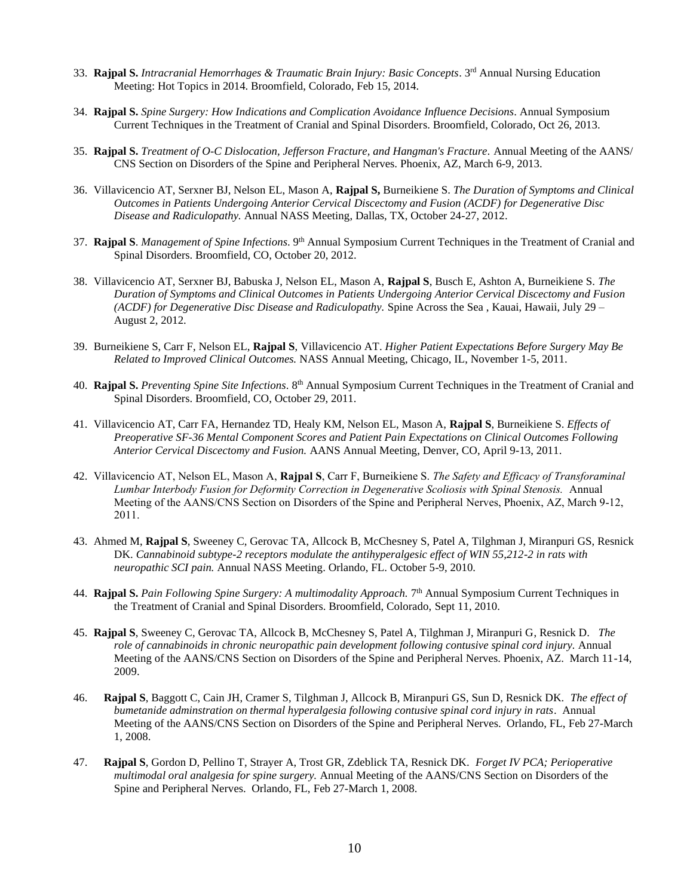- 33. **Rajpal S.** *Intracranial Hemorrhages & Traumatic Brain Injury: Basic Concepts*. 3rd Annual Nursing Education Meeting: Hot Topics in 2014. Broomfield, Colorado, Feb 15, 2014.
- 34. **Rajpal S.** *Spine Surgery: How Indications and Complication Avoidance Influence Decisions*. Annual Symposium Current Techniques in the Treatment of Cranial and Spinal Disorders. Broomfield, Colorado, Oct 26, 2013.
- 35. **Rajpal S.** *Treatment of O-C Dislocation, Jefferson Fracture, and Hangman's Fracture.* Annual Meeting of the AANS/ CNS Section on Disorders of the Spine and Peripheral Nerves. Phoenix, AZ, March 6-9, 2013.
- 36. Villavicencio AT, Serxner BJ, Nelson EL, Mason A, **Rajpal S,** Burneikiene S. *The Duration of Symptoms and Clinical Outcomes in Patients Undergoing Anterior Cervical Discectomy and Fusion (ACDF) for Degenerative Disc Disease and Radiculopathy.* Annual NASS Meeting, Dallas, TX, October 24-27, 2012.
- 37. **Rajpal S**. *Management of Spine Infections*. 9th Annual Symposium Current Techniques in the Treatment of Cranial and Spinal Disorders. Broomfield, CO, October 20, 2012.
- 38. Villavicencio AT, Serxner BJ, Babuska J, Nelson EL, Mason A, **Rajpal S**, Busch E, Ashton A, Burneikiene S. *The Duration of Symptoms and Clinical Outcomes in Patients Undergoing Anterior Cervical Discectomy and Fusion (ACDF) for Degenerative Disc Disease and Radiculopathy.* Spine Across the Sea , Kauai, Hawaii, July 29 – August 2, 2012.
- 39. Burneikiene S, Carr F, Nelson EL, **Rajpal S**, Villavicencio AT. *Higher Patient Expectations Before Surgery May Be Related to Improved Clinical Outcomes.* NASS Annual Meeting, Chicago, IL, November 1-5, 2011.
- 40. **Rajpal S.** *Preventing Spine Site Infections*. 8th Annual Symposium Current Techniques in the Treatment of Cranial and Spinal Disorders. Broomfield, CO, October 29, 2011.
- 41. Villavicencio AT, Carr FA, Hernandez TD, Healy KM, Nelson EL, Mason A, **Rajpal S**, Burneikiene S. *Effects of Preoperative SF-36 Mental Component Scores and Patient Pain Expectations on Clinical Outcomes Following Anterior Cervical Discectomy and Fusion.* AANS Annual Meeting, Denver, CO, April 9-13, 2011.
- 42. Villavicencio AT, Nelson EL, Mason A, **Rajpal S**, Carr F, Burneikiene S. *The Safety and Efficacy of Transforaminal Lumbar Interbody Fusion for Deformity Correction in Degenerative Scoliosis with Spinal Stenosis.* Annual Meeting of the AANS/CNS Section on Disorders of the Spine and Peripheral Nerves, Phoenix, AZ, March 9-12, 2011.
- 43. Ahmed M, **Rajpal S**, Sweeney C, Gerovac TA, Allcock B, McChesney S, Patel A, Tilghman J, Miranpuri GS, Resnick DK. *Cannabinoid subtype-2 receptors modulate the antihyperalgesic effect of WIN 55,212-2 in rats with neuropathic SCI pain.* Annual NASS Meeting. Orlando, FL. October 5-9, 2010.
- 44. **Rajpal S.** *Pain Following Spine Surgery: A multimodality Approach.* 7 th Annual Symposium Current Techniques in the Treatment of Cranial and Spinal Disorders. Broomfield, Colorado, Sept 11, 2010.
- 45. **Rajpal S**, Sweeney C, Gerovac TA, Allcock B, McChesney S, Patel A, Tilghman J, Miranpuri G, Resnick D. *The role of cannabinoids in chronic neuropathic pain development following contusive spinal cord injury.* Annual Meeting of the AANS/CNS Section on Disorders of the Spine and Peripheral Nerves. Phoenix, AZ. March 11-14, 2009.
- 46. **Rajpal S**, Baggott C, Cain JH, Cramer S, Tilghman J, Allcock B, Miranpuri GS, Sun D, Resnick DK. *The effect of bumetanide adminstration on thermal hyperalgesia following contusive spinal cord injury in rats*. Annual Meeting of the AANS/CNS Section on Disorders of the Spine and Peripheral Nerves. Orlando, FL, Feb 27-March 1, 2008.
- 47. **Rajpal S**, Gordon D, Pellino T, Strayer A, Trost GR, Zdeblick TA, Resnick DK. *Forget IV PCA; Perioperative multimodal oral analgesia for spine surgery.* Annual Meeting of the AANS/CNS Section on Disorders of the Spine and Peripheral Nerves. Orlando, FL, Feb 27-March 1, 2008.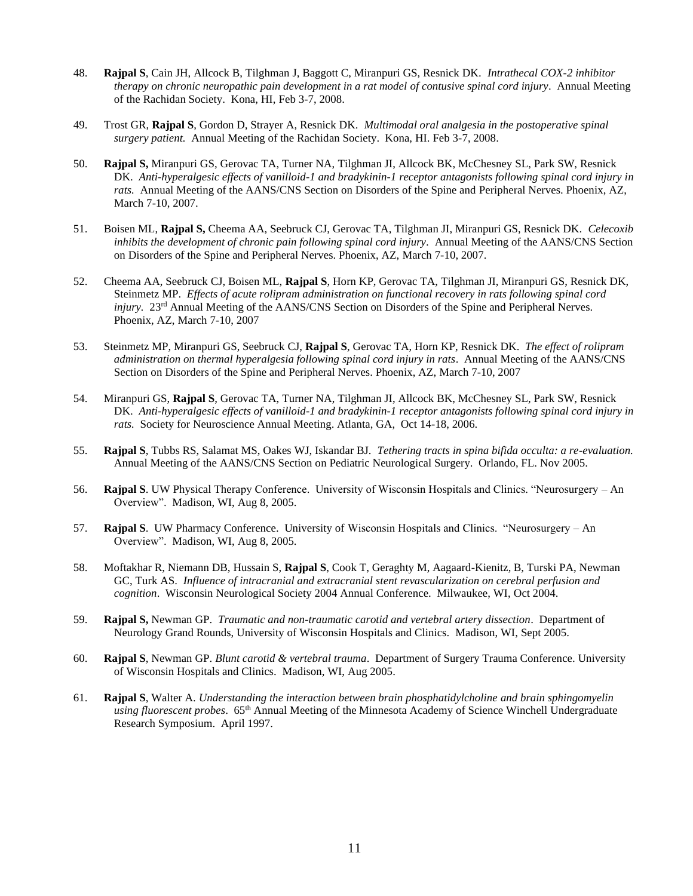- 48. **Rajpal S**, Cain JH, Allcock B, Tilghman J, Baggott C, Miranpuri GS, Resnick DK. *Intrathecal COX-2 inhibitor therapy on chronic neuropathic pain development in a rat model of contusive spinal cord injury*. Annual Meeting of the Rachidan Society. Kona, HI, Feb 3-7, 2008.
- 49. Trost GR, **Rajpal S**, Gordon D, Strayer A, Resnick DK. *Multimodal oral analgesia in the postoperative spinal surgery patient.* Annual Meeting of the Rachidan Society. Kona, HI. Feb 3-7, 2008.
- 50. **Rajpal S,** Miranpuri GS, Gerovac TA, Turner NA, Tilghman JI, Allcock BK, McChesney SL, Park SW, Resnick DK. *Anti-hyperalgesic effects of vanilloid-1 and bradykinin-1 receptor antagonists following spinal cord injury in rats.* Annual Meeting of the AANS/CNS Section on Disorders of the Spine and Peripheral Nerves. Phoenix, AZ, March 7-10, 2007.
- 51. Boisen ML, **Rajpal S,** Cheema AA, Seebruck CJ, Gerovac TA, Tilghman JI, Miranpuri GS, Resnick DK. *Celecoxib inhibits the development of chronic pain following spinal cord injury.* Annual Meeting of the AANS/CNS Section on Disorders of the Spine and Peripheral Nerves. Phoenix, AZ, March 7-10, 2007.
- 52. Cheema AA, Seebruck CJ, Boisen ML, **Rajpal S**, Horn KP, Gerovac TA, Tilghman JI, Miranpuri GS, Resnick DK, Steinmetz MP. *Effects of acute rolipram administration on functional recovery in rats following spinal cord injury.* 23<sup>rd</sup> Annual Meeting of the AANS/CNS Section on Disorders of the Spine and Peripheral Nerves. Phoenix, AZ, March 7-10, 2007
- 53. Steinmetz MP, Miranpuri GS, Seebruck CJ, **Rajpal S**, Gerovac TA, Horn KP, Resnick DK. *The effect of rolipram administration on thermal hyperalgesia following spinal cord injury in rats*. Annual Meeting of the AANS/CNS Section on Disorders of the Spine and Peripheral Nerves. Phoenix, AZ, March 7-10, 2007
- 54. Miranpuri GS, **Rajpal S**, Gerovac TA, Turner NA, Tilghman JI, Allcock BK, McChesney SL, Park SW, Resnick DK. *Anti-hyperalgesic effects of vanilloid-1 and bradykinin-1 receptor antagonists following spinal cord injury in rats.* Society for Neuroscience Annual Meeting. Atlanta, GA, Oct 14-18, 2006.
- 55. **Rajpal S**, Tubbs RS, Salamat MS, Oakes WJ, Iskandar BJ. *Tethering tracts in spina bifida occulta: a re-evaluation.* Annual Meeting of the AANS/CNS Section on Pediatric Neurological Surgery. Orlando, FL. Nov 2005.
- 56. **Rajpal S**. UW Physical Therapy Conference. University of Wisconsin Hospitals and Clinics. "Neurosurgery An Overview". Madison, WI, Aug 8, 2005.
- 57. **Rajpal S**. UW Pharmacy Conference. University of Wisconsin Hospitals and Clinics. "Neurosurgery An Overview". Madison, WI, Aug 8, 2005.
- 58. Moftakhar R, Niemann DB, Hussain S, **Rajpal S**, Cook T, Geraghty M, Aagaard-Kienitz, B, Turski PA, Newman GC, Turk AS. *Influence of intracranial and extracranial stent revascularization on cerebral perfusion and cognition*. Wisconsin Neurological Society 2004 Annual Conference. Milwaukee, WI, Oct 2004.
- 59. **Rajpal S,** Newman GP. *Traumatic and non-traumatic carotid and vertebral artery dissection*. Department of Neurology Grand Rounds, University of Wisconsin Hospitals and Clinics. Madison, WI, Sept 2005.
- 60. **Rajpal S**, Newman GP. *Blunt carotid & vertebral trauma*. Department of Surgery Trauma Conference. University of Wisconsin Hospitals and Clinics. Madison, WI, Aug 2005.
- 61. **Rajpal S**, Walter A. *Understanding the interaction between brain phosphatidylcholine and brain sphingomyelin using fluorescent probes*. 65th Annual Meeting of the Minnesota Academy of Science Winchell Undergraduate Research Symposium. April 1997.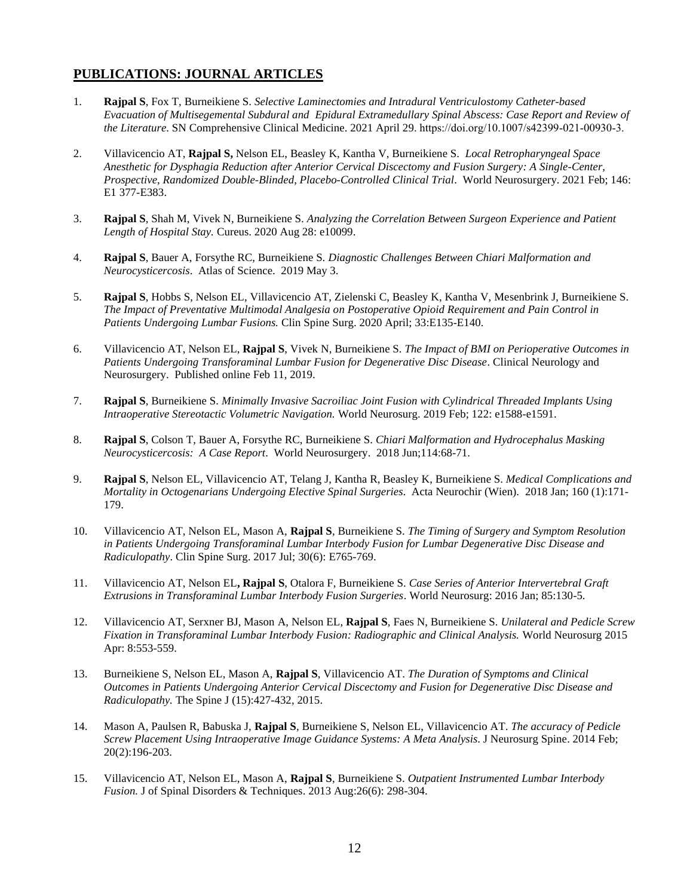### **PUBLICATIONS: JOURNAL ARTICLES**

- 1. **Rajpal S**, Fox T, Burneikiene S. *Selective Laminectomies and Intradural Ventriculostomy Catheter-based Evacuation of Multisegemental Subdural and Epidural Extramedullary Spinal Abscess: Case Report and Review of the Literature*. SN Comprehensive Clinical Medicine. 2021 April 29. https://doi.org/10.1007/s42399-021-00930-3.
- 2. Villavicencio AT, **Rajpal S,** Nelson EL, Beasley K, Kantha V, Burneikiene S. *Local Retropharyngeal Space Anesthetic for Dysphagia Reduction after Anterior Cervical Discectomy and Fusion Surgery: A Single-Center, Prospective, Randomized Double-Blinded, Placebo-Controlled Clinical Trial*. World Neurosurgery. 2021 Feb; 146: E1 377-E383.
- 3. **Rajpal S**, Shah M, Vivek N, Burneikiene S. *Analyzing the Correlation Between Surgeon Experience and Patient Length of Hospital Stay.* Cureus. 2020 Aug 28: e10099.
- 4. **Rajpal S**, Bauer A, Forsythe RC, Burneikiene S. *Diagnostic Challenges Between Chiari Malformation and Neurocysticercosis*. Atlas of Science. 2019 May 3.
- 5. **Rajpal S**, Hobbs S, Nelson EL, Villavicencio AT, Zielenski C, Beasley K, Kantha V, Mesenbrink J, Burneikiene S. *The Impact of Preventative Multimodal Analgesia on Postoperative Opioid Requirement and Pain Control in Patients Undergoing Lumbar Fusions.* Clin Spine Surg. 2020 April; 33:E135-E140.
- 6. Villavicencio AT, Nelson EL, **Rajpal S**, Vivek N, Burneikiene S. *The Impact of BMI on Perioperative Outcomes in Patients Undergoing Transforaminal Lumbar Fusion for Degenerative Disc Disease*. Clinical Neurology and Neurosurgery. Published online Feb 11, 2019.
- 7. **Rajpal S**, Burneikiene S. *Minimally Invasive Sacroiliac Joint Fusion with Cylindrical Threaded Implants Using Intraoperative Stereotactic Volumetric Navigation.* World Neurosurg. 2019 Feb; 122: e1588-e1591.
- 8. **Rajpal S**, Colson T, Bauer A, Forsythe RC, Burneikiene S. *Chiari Malformation and Hydrocephalus Masking Neurocysticercosis: A Case Report*. World Neurosurgery. 2018 Jun;114:68-71.
- 9. **Rajpal S**, Nelson EL, Villavicencio AT, Telang J, Kantha R, Beasley K, Burneikiene S. *Medical Complications and Mortality in Octogenarians Undergoing Elective Spinal Surgeries*. Acta Neurochir (Wien). 2018 Jan; 160 (1):171- 179.
- 10. Villavicencio AT, Nelson EL, Mason A, **Rajpal S**, Burneikiene S. *The Timing of Surgery and Symptom Resolution in Patients Undergoing Transforaminal Lumbar Interbody Fusion for Lumbar Degenerative Disc Disease and Radiculopathy*. Clin Spine Surg. 2017 Jul; 30(6): E765-769.
- 11. Villavicencio AT, Nelson EL**, Rajpal S**, Otalora F, Burneikiene S. *Case Series of Anterior Intervertebral Graft Extrusions in Transforaminal Lumbar Interbody Fusion Surgeries*. World Neurosurg: 2016 Jan; 85:130-5.
- 12. Villavicencio AT, Serxner BJ, Mason A, Nelson EL, **Rajpal S**, Faes N, Burneikiene S. *Unilateral and Pedicle Screw Fixation in Transforaminal Lumbar Interbody Fusion: Radiographic and Clinical Analysis.* World Neurosurg 2015 Apr: 8:553-559.
- 13. Burneikiene S, Nelson EL, Mason A, **Rajpal S**, Villavicencio AT. *The Duration of Symptoms and Clinical Outcomes in Patients Undergoing Anterior Cervical Discectomy and Fusion for Degenerative Disc Disease and Radiculopathy.* The Spine J (15):427-432, 2015.
- 14. Mason A, Paulsen R, Babuska J, **Rajpal S**, Burneikiene S, Nelson EL, Villavicencio AT. *The accuracy of Pedicle Screw Placement Using Intraoperative Image Guidance Systems: A Meta Analysis*. J Neurosurg Spine. 2014 Feb; 20(2):196-203.
- 15. Villavicencio AT, Nelson EL, Mason A, **Rajpal S**, Burneikiene S. *Outpatient Instrumented Lumbar Interbody Fusion.* J of Spinal Disorders & Techniques. 2013 Aug:26(6): 298-304.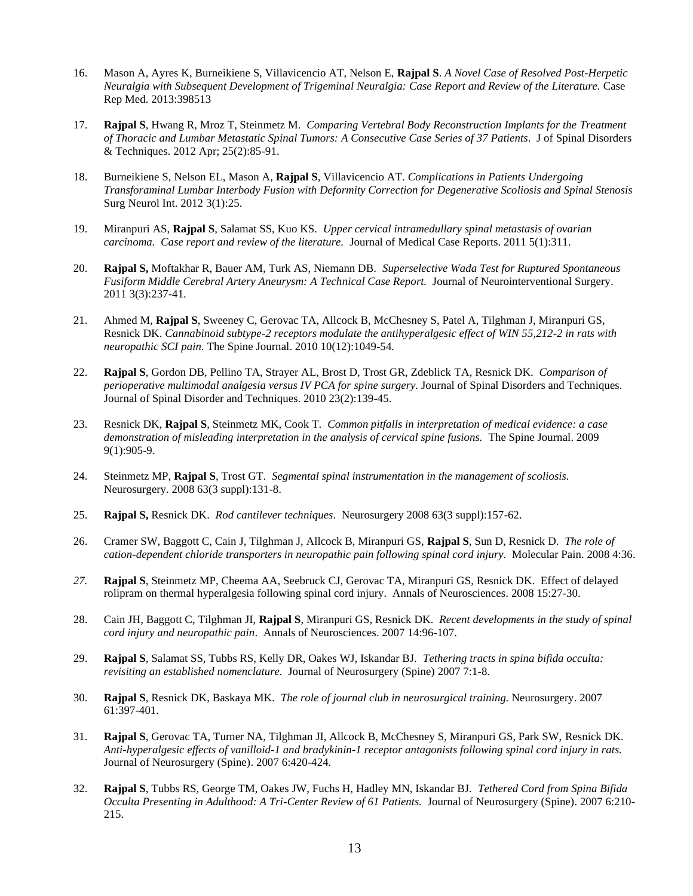- 16. Mason A, Ayres K, Burneikiene S, Villavicencio AT, Nelson E, **Rajpal S**. *A Novel Case of Resolved Post-Herpetic Neuralgia with Subsequent Development of Trigeminal Neuralgia: Case Report and Review of the Literature.* Case Rep Med. 2013:398513
- 17. **Rajpal S**, Hwang R, Mroz T, Steinmetz M. *Comparing Vertebral Body Reconstruction Implants for the Treatment of Thoracic and Lumbar Metastatic Spinal Tumors: A Consecutive Case Series of 37 Patients*. J of Spinal Disorders & Techniques. 2012 Apr; 25(2):85-91.
- 18. Burneikiene S, Nelson EL, Mason A, **Rajpal S**, Villavicencio AT. *Complications in Patients Undergoing Transforaminal Lumbar Interbody Fusion with Deformity Correction for Degenerative Scoliosis and Spinal Stenosis*  Surg Neurol Int. 2012 3(1):25.
- 19. Miranpuri AS, **Rajpal S**, Salamat SS, Kuo KS. *Upper cervical intramedullary spinal metastasis of ovarian carcinoma. Case report and review of the literature.* Journal of Medical Case Reports. 2011 5(1):311.
- 20. **Rajpal S,** Moftakhar R, Bauer AM, Turk AS, Niemann DB. *Superselective Wada Test for Ruptured Spontaneous Fusiform Middle Cerebral Artery Aneurysm: A Technical Case Report.* Journal of Neurointerventional Surgery. 2011 3(3):237-41.
- 21. Ahmed M, **Rajpal S**, Sweeney C, Gerovac TA, Allcock B, McChesney S, Patel A, Tilghman J, Miranpuri GS, Resnick DK. *Cannabinoid subtype-2 receptors modulate the antihyperalgesic effect of WIN 55,212-2 in rats with neuropathic SCI pain.* The Spine Journal. 2010 10(12):1049-54*.*
- 22. **Rajpal S**, Gordon DB, Pellino TA, Strayer AL, Brost D, Trost GR, Zdeblick TA, Resnick DK. *Comparison of perioperative multimodal analgesia versus IV PCA for spine surgery.* Journal of Spinal Disorders and Techniques*.* Journal of Spinal Disorder and Techniques. 2010 23(2):139-45.
- 23. Resnick DK, **Rajpal S**, Steinmetz MK, Cook T. *Common pitfalls in interpretation of medical evidence: a case demonstration of misleading interpretation in the analysis of cervical spine fusions.* The Spine Journal. 2009 9(1):905-9.
- 24. Steinmetz MP, **Rajpal S**, Trost GT. *Segmental spinal instrumentation in the management of scoliosis*. Neurosurgery. 2008 63(3 suppl):131-8.
- 25. **Rajpal S,** Resnick DK. *Rod cantilever techniques*. Neurosurgery 2008 63(3 suppl):157-62.
- 26. Cramer SW, Baggott C, Cain J, Tilghman J, Allcock B, Miranpuri GS, **Rajpal S**, Sun D, Resnick D. *The role of cation-dependent chloride transporters in neuropathic pain following spinal cord injury.* Molecular Pain. 2008 4:36.
- *27.* **Rajpal S**, Steinmetz MP, Cheema AA, Seebruck CJ, Gerovac TA, Miranpuri GS, Resnick DK. Effect of delayed rolipram on thermal hyperalgesia following spinal cord injury. Annals of Neurosciences. 2008 15:27-30.
- 28. Cain JH, Baggott C, Tilghman JI, **Rajpal S**, Miranpuri GS, Resnick DK. *Recent developments in the study of spinal cord injury and neuropathic pain*. Annals of Neurosciences. 2007 14:96-107.
- 29. **Rajpal S**, Salamat SS, Tubbs RS, Kelly DR, Oakes WJ, Iskandar BJ. *Tethering tracts in spina bifida occulta: revisiting an established nomenclature.* Journal of Neurosurgery (Spine) 2007 7:1-8.
- 30. **Rajpal S**, Resnick DK, Baskaya MK. *The role of journal club in neurosurgical training.* Neurosurgery. 2007 61:397-401.
- 31. **Rajpal S**, Gerovac TA, Turner NA, Tilghman JI, Allcock B, McChesney S, Miranpuri GS, Park SW, Resnick DK. *Anti-hyperalgesic effects of vanilloid-1 and bradykinin-1 receptor antagonists following spinal cord injury in rats.* Journal of Neurosurgery (Spine). 2007 6:420-424.
- 32. **Rajpal S**, Tubbs RS, George TM, Oakes JW, Fuchs H, Hadley MN, Iskandar BJ. *Tethered Cord from Spina Bifida Occulta Presenting in Adulthood: A Tri-Center Review of 61 Patients.* Journal of Neurosurgery (Spine). 2007 6:210- 215.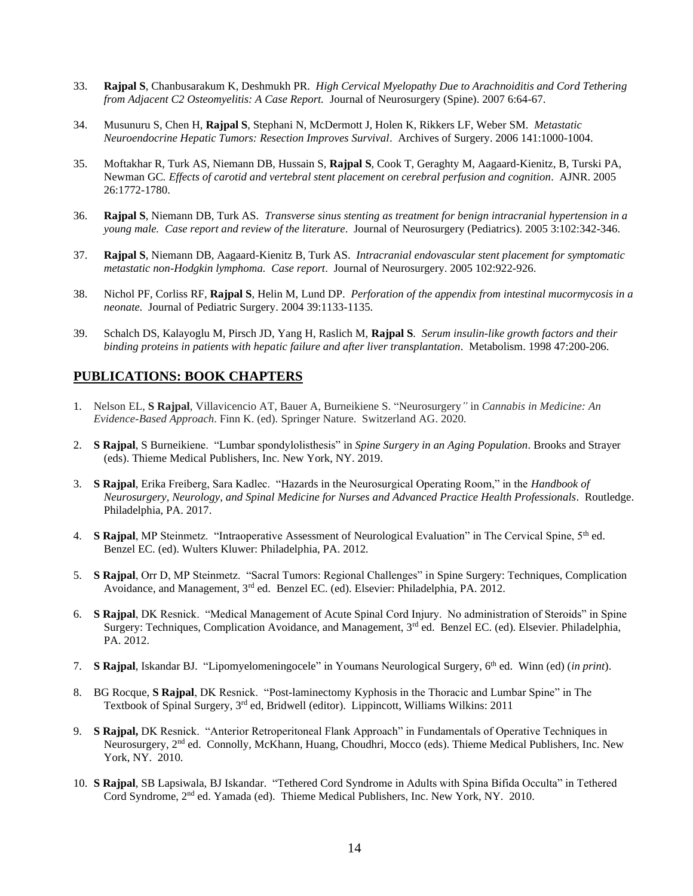- 33. **Rajpal S**, Chanbusarakum K, Deshmukh PR. *High Cervical Myelopathy Due to Arachnoiditis and Cord Tethering from Adjacent C2 Osteomyelitis: A Case Report.* Journal of Neurosurgery (Spine). 2007 6:64-67.
- 34. Musunuru S, Chen H, **Rajpal S**, Stephani N, McDermott J, Holen K, Rikkers LF, Weber SM. *Metastatic Neuroendocrine Hepatic Tumors: Resection Improves Survival*. Archives of Surgery. 2006 141:1000-1004.
- 35. Moftakhar R, Turk AS, Niemann DB, Hussain S, **Rajpal S**, Cook T, Geraghty M, Aagaard-Kienitz, B, Turski PA, Newman GC*. Effects of carotid and vertebral stent placement on cerebral perfusion and cognition*. AJNR. 2005 26:1772-1780.
- 36. **Rajpal S**, Niemann DB, Turk AS. *Transverse sinus stenting as treatment for benign intracranial hypertension in a young male. Case report and review of the literature*. Journal of Neurosurgery (Pediatrics). 2005 3:102:342-346.
- 37. **Rajpal S**, Niemann DB, Aagaard-Kienitz B, Turk AS. *Intracranial endovascular stent placement for symptomatic metastatic non-Hodgkin lymphoma. Case report*. Journal of Neurosurgery. 2005 102:922-926.
- 38. Nichol PF, Corliss RF, **Rajpal S**, Helin M, Lund DP. *Perforation of the appendix from intestinal mucormycosis in a neonate.* Journal of Pediatric Surgery. 2004 39:1133-1135.
- 39. Schalch DS, Kalayoglu M, Pirsch JD, Yang H, Raslich M, **Rajpal S***. Serum insulin-like growth factors and their binding proteins in patients with hepatic failure and after liver transplantation*. Metabolism. 1998 47:200-206.

### **PUBLICATIONS: BOOK CHAPTERS**

- 1. Nelson EL, **S Rajpal**, Villavicencio AT, Bauer A, Burneikiene S. "Neurosurgery*"* in *Cannabis in Medicine: An Evidence-Based Approach*. Finn K. (ed). Springer Nature. Switzerland AG. 2020.
- 2. **S Rajpal**, S Burneikiene. "Lumbar spondylolisthesis" in *Spine Surgery in an Aging Population*. Brooks and Strayer (eds). Thieme Medical Publishers, Inc. New York, NY. 2019.
- 3. **S Rajpal**, Erika Freiberg, Sara Kadlec. "Hazards in the Neurosurgical Operating Room," in the *Handbook of Neurosurgery, Neurology, and Spinal Medicine for Nurses and Advanced Practice Health Professionals*. Routledge. Philadelphia, PA. 2017.
- 4. **S Raipal**, MP Steinmetz. "Intraoperative Assessment of Neurological Evaluation" in The Cervical Spine, 5<sup>th</sup> ed. Benzel EC. (ed). Wulters Kluwer: Philadelphia, PA. 2012*.*
- 5. **S Rajpal**, Orr D, MP Steinmetz. "Sacral Tumors: Regional Challenges" in Spine Surgery: Techniques, Complication Avoidance, and Management, 3rd ed. Benzel EC. (ed). Elsevier: Philadelphia, PA. 2012.
- 6. **S Rajpal**, DK Resnick. "Medical Management of Acute Spinal Cord Injury. No administration of Steroids" in Spine Surgery: Techniques, Complication Avoidance, and Management, 3rd ed. Benzel EC. (ed). Elsevier. Philadelphia, PA. 2012.
- 7. **S Rajpal**, Iskandar BJ. "Lipomyelomeningocele" in Youmans Neurological Surgery, 6 th ed. Winn (ed) (*in print*).
- 8. BG Rocque, **S Rajpal**, DK Resnick. "Post-laminectomy Kyphosis in the Thoracic and Lumbar Spine" in The Textbook of Spinal Surgery,  $3^{rd}$  ed, Bridwell (editor). Lippincott, Williams Wilkins: 2011
- 9. **S Rajpal,** DK Resnick. "Anterior Retroperitoneal Flank Approach" in Fundamentals of Operative Techniques in Neurosurgery, 2nd ed. Connolly, McKhann, Huang, Choudhri, Mocco (eds). Thieme Medical Publishers, Inc. New York, NY. 2010.
- 10. **S Rajpal**, SB Lapsiwala, BJ Iskandar. "Tethered Cord Syndrome in Adults with Spina Bifida Occulta" in Tethered Cord Syndrome, 2nd ed. Yamada (ed). Thieme Medical Publishers, Inc. New York, NY. 2010.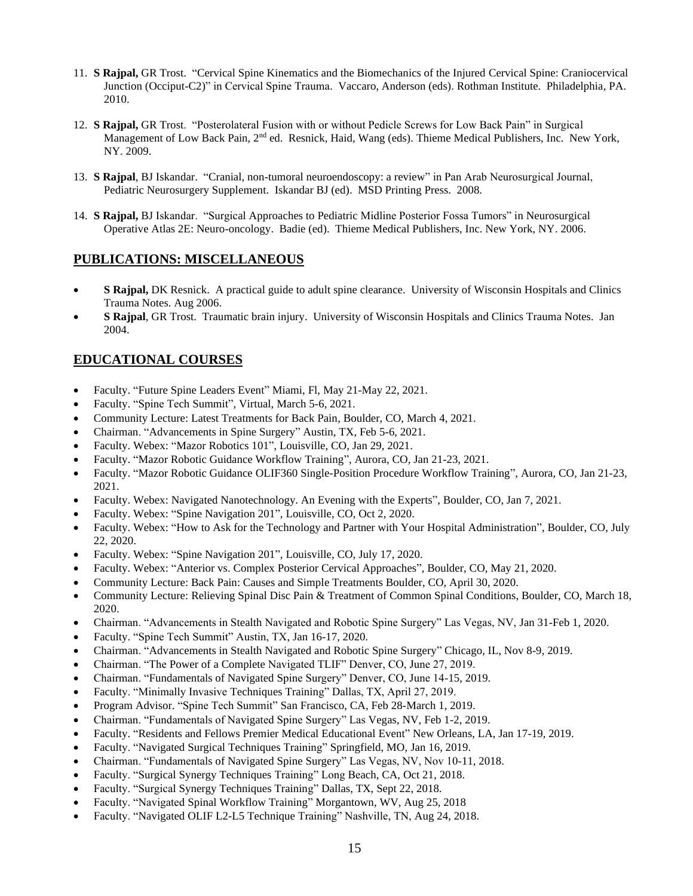- 11. **S Rajpal,** GR Trost. "Cervical Spine Kinematics and the Biomechanics of the Injured Cervical Spine: Craniocervical Junction (Occiput-C2)" in Cervical Spine Trauma. Vaccaro, Anderson (eds). Rothman Institute. Philadelphia, PA. 2010.
- 12. **S Rajpal,** GR Trost. "Posterolateral Fusion with or without Pedicle Screws for Low Back Pain" in Surgical Management of Low Back Pain, 2<sup>nd</sup> ed. Resnick, Haid, Wang (eds). Thieme Medical Publishers, Inc. New York, NY. 2009.
- 13. **S Rajpal**, BJ Iskandar. "Cranial, non-tumoral neuroendoscopy: a review" in Pan Arab Neurosurgical Journal, Pediatric Neurosurgery Supplement. Iskandar BJ (ed). MSD Printing Press. 2008.
- 14. **S Rajpal,** BJ Iskandar. "Surgical Approaches to Pediatric Midline Posterior Fossa Tumors" in Neurosurgical Operative Atlas 2E: Neuro-oncology. Badie (ed). Thieme Medical Publishers, Inc. New York, NY. 2006.

### **PUBLICATIONS: MISCELLANEOUS**

- **S Rajpal,** DK Resnick. A practical guide to adult spine clearance. University of Wisconsin Hospitals and Clinics Trauma Notes. Aug 2006.
- **S Rajpal**, GR Trost. Traumatic brain injury. University of Wisconsin Hospitals and Clinics Trauma Notes. Jan 2004.

### **EDUCATIONAL COURSES**

- Faculty. "Future Spine Leaders Event" Miami, Fl, May 21-May 22, 2021.
- Faculty. "Spine Tech Summit", Virtual, March 5-6, 2021.
- Community Lecture: Latest Treatments for Back Pain, Boulder, CO, March 4, 2021.
- Chairman. "Advancements in Spine Surgery" Austin, TX, Feb 5-6, 2021.
- Faculty. Webex: "Mazor Robotics 101", Louisville, CO, Jan 29, 2021.
- Faculty. "Mazor Robotic Guidance Workflow Training", Aurora, CO, Jan 21-23, 2021.
- Faculty. "Mazor Robotic Guidance OLIF360 Single-Position Procedure Workflow Training", Aurora, CO, Jan 21-23, 2021.
- Faculty. Webex: Navigated Nanotechnology. An Evening with the Experts", Boulder, CO, Jan 7, 2021.
- Faculty. Webex: "Spine Navigation 201", Louisville, CO, Oct 2, 2020.
- Faculty. Webex: "How to Ask for the Technology and Partner with Your Hospital Administration", Boulder, CO, July 22, 2020.
- Faculty. Webex: "Spine Navigation 201", Louisville, CO, July 17, 2020.
- Faculty. Webex: "Anterior vs. Complex Posterior Cervical Approaches", Boulder, CO, May 21, 2020.
- Community Lecture: Back Pain: Causes and Simple Treatments Boulder, CO, April 30, 2020.
- Community Lecture: Relieving Spinal Disc Pain & Treatment of Common Spinal Conditions, Boulder, CO, March 18, 2020.
- Chairman. "Advancements in Stealth Navigated and Robotic Spine Surgery" Las Vegas, NV, Jan 31-Feb 1, 2020.
- Faculty. "Spine Tech Summit" Austin, TX, Jan 16-17, 2020.
- Chairman. "Advancements in Stealth Navigated and Robotic Spine Surgery" Chicago, IL, Nov 8-9, 2019.
- Chairman. "The Power of a Complete Navigated TLIF" Denver, CO, June 27, 2019.
- Chairman. "Fundamentals of Navigated Spine Surgery" Denver, CO, June 14-15, 2019.
- Faculty. "Minimally Invasive Techniques Training" Dallas, TX, April 27, 2019.
- Program Advisor. "Spine Tech Summit" San Francisco, CA, Feb 28-March 1, 2019.
- Chairman. "Fundamentals of Navigated Spine Surgery" Las Vegas, NV, Feb 1-2, 2019.
- Faculty. "Residents and Fellows Premier Medical Educational Event" New Orleans, LA, Jan 17-19, 2019.
- Faculty. "Navigated Surgical Techniques Training" Springfield, MO, Jan 16, 2019.
- Chairman. "Fundamentals of Navigated Spine Surgery" Las Vegas, NV, Nov 10-11, 2018.
- Faculty. "Surgical Synergy Techniques Training" Long Beach, CA, Oct 21, 2018.
- Faculty. "Surgical Synergy Techniques Training" Dallas, TX, Sept 22, 2018.
- Faculty. "Navigated Spinal Workflow Training" Morgantown, WV, Aug 25, 2018
- Faculty. "Navigated OLIF L2-L5 Technique Training" Nashville, TN, Aug 24, 2018.